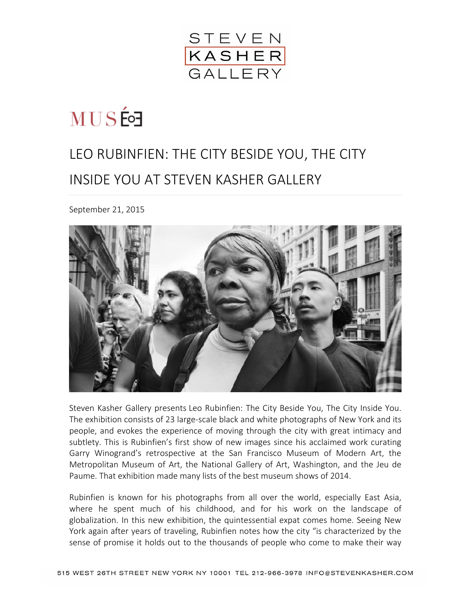

## **MUSE**

## LEO RUBINFIEN: THE CITY BESIDE YOU, THE CITY INSIDE YOU AT STEVEN KASHER GALLERY

September 21, 2015



Steven Kasher Gallery presents Leo Rubinfien: The City Beside You, The City Inside You. The exhibition consists of 23 large-scale black and white photographs of New York and its people, and evokes the experience of moving through the city with great intimacy and subtlety. This is Rubinfien's first show of new images since his acclaimed work curating Garry Winogrand's retrospective at the San Francisco Museum of Modern Art, the Metropolitan Museum of Art, the National Gallery of Art, Washington, and the Jeu de Paume. That exhibition made many lists of the best museum shows of 2014.

Rubinfien is known for his photographs from all over the world, especially East Asia, where he spent much of his childhood, and for his work on the landscape of globalization. In this new exhibition, the quintessential expat comes home. Seeing New York again after years of traveling, Rubinfien notes how the city "is characterized by the sense of promise it holds out to the thousands of people who come to make their way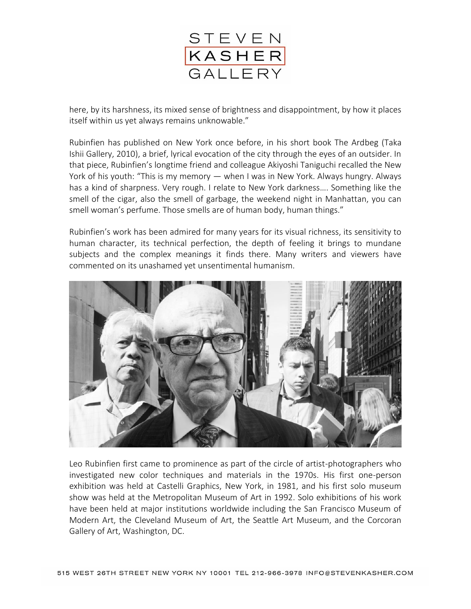

here, by its harshness, its mixed sense of brightness and disappointment, by how it places itself within us yet always remains unknowable."

Rubinfien has published on New York once before, in his short book The Ardbeg (Taka Ishii Gallery, 2010), a brief, lyrical evocation of the city through the eyes of an outsider. In that piece, Rubinfien's longtime friend and colleague Akiyoshi Taniguchi recalled the New York of his youth: "This is my memory — when I was in New York. Always hungry. Always has a kind of sharpness. Very rough. I relate to New York darkness…. Something like the smell of the cigar, also the smell of garbage, the weekend night in Manhattan, you can smell woman's perfume. Those smells are of human body, human things."

Rubinfien's work has been admired for many years for its visual richness, its sensitivity to human character, its technical perfection, the depth of feeling it brings to mundane subjects and the complex meanings it finds there. Many writers and viewers have commented on its unashamed yet unsentimental humanism.



Leo Rubinfien first came to prominence as part of the circle of artist-photographers who investigated new color techniques and materials in the 1970s. His first one-person exhibition was held at Castelli Graphics, New York, in 1981, and his first solo museum show was held at the Metropolitan Museum of Art in 1992. Solo exhibitions of his work have been held at major institutions worldwide including the San Francisco Museum of Modern Art, the Cleveland Museum of Art, the Seattle Art Museum, and the Corcoran Gallery of Art, Washington, DC.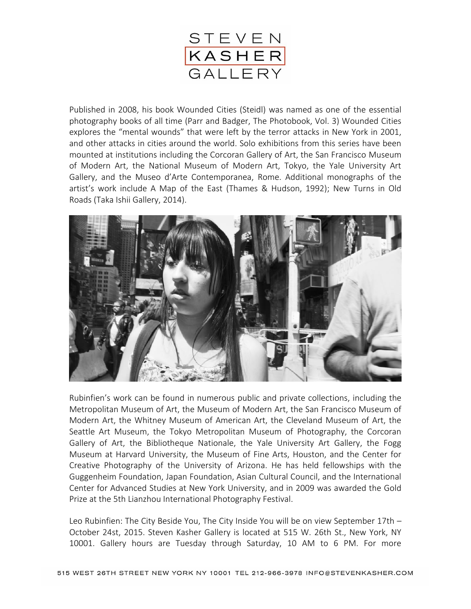

Published in 2008, his book Wounded Cities (Steidl) was named as one of the essential photography books of all time (Parr and Badger, The Photobook, Vol. 3) Wounded Cities explores the "mental wounds" that were left by the terror attacks in New York in 2001, and other attacks in cities around the world. Solo exhibitions from this series have been mounted at institutions including the Corcoran Gallery of Art, the San Francisco Museum of Modern Art, the National Museum of Modern Art, Tokyo, the Yale University Art Gallery, and the Museo d'Arte Contemporanea, Rome. Additional monographs of the artist's work include A Map of the East (Thames & Hudson, 1992); New Turns in Old Roads (Taka Ishii Gallery, 2014).



Rubinfien's work can be found in numerous public and private collections, including the Metropolitan Museum of Art, the Museum of Modern Art, the San Francisco Museum of Modern Art, the Whitney Museum of American Art, the Cleveland Museum of Art, the Seattle Art Museum, the Tokyo Metropolitan Museum of Photography, the Corcoran Gallery of Art, the Bibliotheque Nationale, the Yale University Art Gallery, the Fogg Museum at Harvard University, the Museum of Fine Arts, Houston, and the Center for Creative Photography of the University of Arizona. He has held fellowships with the Guggenheim Foundation, Japan Foundation, Asian Cultural Council, and the International Center for Advanced Studies at New York University, and in 2009 was awarded the Gold Prize at the 5th Lianzhou International Photography Festival.

Leo Rubinfien: The City Beside You, The City Inside You will be on view September 17th – October 24st, 2015. Steven Kasher Gallery is located at 515 W. 26th St., New York, NY 10001. Gallery hours are Tuesday through Saturday, 10 AM to 6 PM. For more